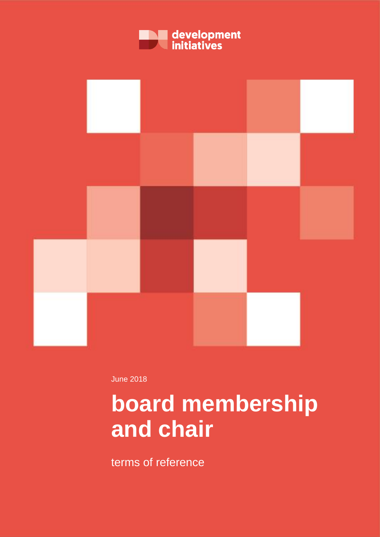



June 2018

# **board membership and chair**

terms of reference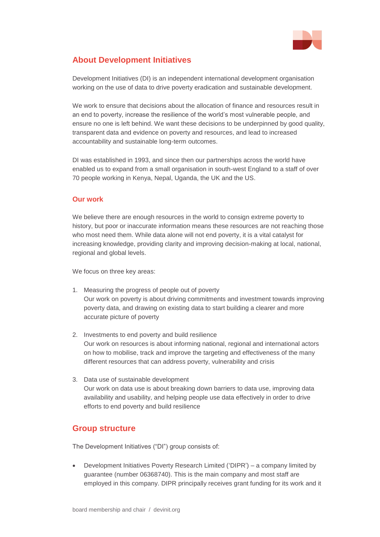

# **About Development Initiatives**

Development Initiatives (DI) is an independent international development organisation working on the use of data to drive poverty eradication and sustainable development.

We work to ensure that decisions about the allocation of finance and resources result in an end to poverty, increase the resilience of the world's most vulnerable people, and ensure no one is left behind. We want these decisions to be underpinned by good quality, transparent data and evidence on poverty and resources, and lead to increased accountability and sustainable long-term outcomes.

DI was established in 1993, and since then our partnerships across the world have enabled us to expand from a small organisation in south-west England to a staff of over 70 people working in Kenya, Nepal, Uganda, the UK and the US.

#### **Our work**

We believe there are enough resources in the world to consign extreme poverty to history, but poor or inaccurate information means these resources are not reaching those who most need them. While data alone will not end poverty, it is a vital catalyst for increasing knowledge, providing clarity and improving decision-making at local, national, regional and global levels.

We focus on three key areas:

- 1. Measuring the progress of people out of poverty Our work on poverty is about driving commitments and investment towards improving poverty data, and drawing on existing data to start building a clearer and more accurate picture of poverty
- 2. Investments to end poverty and build resilience Our work on resources is about informing national, regional and international actors on how to mobilise, track and improve the targeting and effectiveness of the many different resources that can address poverty, vulnerability and crisis
- 3. Data use of sustainable development Our work on data use is about breaking down barriers to data use, improving data availability and usability, and helping people use data effectively in order to drive efforts to end poverty and build resilience

# **Group structure**

The Development Initiatives ("DI") group consists of:

• Development Initiatives Poverty Research Limited ('DIPR') – a company limited by guarantee (number 06368740). This is the main company and most staff are employed in this company. DIPR principally receives grant funding for its work and it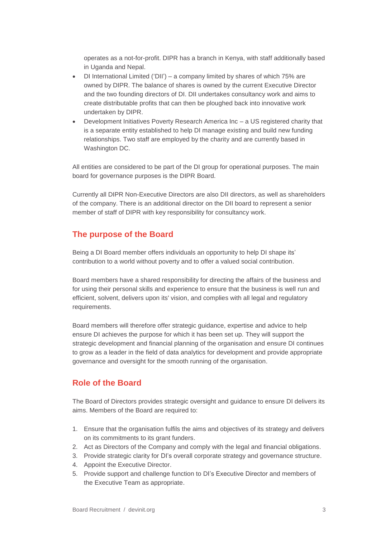operates as a not-for-profit. DIPR has a branch in Kenya, with staff additionally based in Uganda and Nepal.

- DI International Limited ('DII') a company limited by shares of which 75% are owned by DIPR. The balance of shares is owned by the current Executive Director and the two founding directors of DI. DII undertakes consultancy work and aims to create distributable profits that can then be ploughed back into innovative work undertaken by DIPR.
- Development Initiatives Poverty Research America Inc a US registered charity that is a separate entity established to help DI manage existing and build new funding relationships. Two staff are employed by the charity and are currently based in Washington DC.

All entities are considered to be part of the DI group for operational purposes. The main board for governance purposes is the DIPR Board.

Currently all DIPR Non-Executive Directors are also DII directors, as well as shareholders of the company. There is an additional director on the DII board to represent a senior member of staff of DIPR with key responsibility for consultancy work.

# **The purpose of the Board**

Being a DI Board member offers individuals an opportunity to help DI shape its' contribution to a world without poverty and to offer a valued social contribution.

Board members have a shared responsibility for directing the affairs of the business and for using their personal skills and experience to ensure that the business is well run and efficient, solvent, delivers upon its' vision, and complies with all legal and regulatory requirements.

Board members will therefore offer strategic guidance, expertise and advice to help ensure DI achieves the purpose for which it has been set up. They will support the strategic development and financial planning of the organisation and ensure DI continues to grow as a leader in the field of data analytics for development and provide appropriate governance and oversight for the smooth running of the organisation.

# **Role of the Board**

The Board of Directors provides strategic oversight and guidance to ensure DI delivers its aims. Members of the Board are required to:

- 1. Ensure that the organisation fulfils the aims and objectives of its strategy and delivers on its commitments to its grant funders.
- 2. Act as Directors of the Company and comply with the legal and financial obligations.
- 3. Provide strategic clarity for DI's overall corporate strategy and governance structure.
- 4. Appoint the Executive Director.
- 5. Provide support and challenge function to DI's Executive Director and members of the Executive Team as appropriate.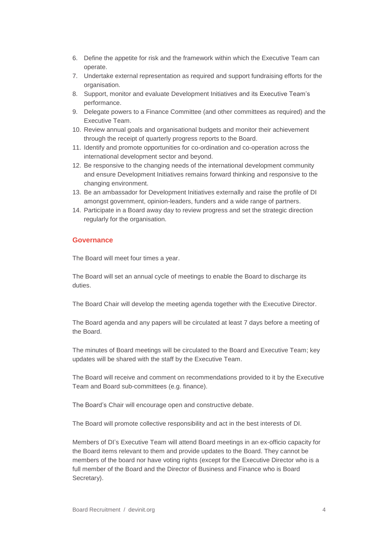- 6. Define the appetite for risk and the framework within which the Executive Team can operate.
- 7. Undertake external representation as required and support fundraising efforts for the organisation.
- 8. Support, monitor and evaluate Development Initiatives and its Executive Team's performance.
- 9. Delegate powers to a Finance Committee (and other committees as required) and the Executive Team.
- 10. Review annual goals and organisational budgets and monitor their achievement through the receipt of quarterly progress reports to the Board.
- 11. Identify and promote opportunities for co-ordination and co-operation across the international development sector and beyond.
- 12. Be responsive to the changing needs of the international development community and ensure Development Initiatives remains forward thinking and responsive to the changing environment.
- 13. Be an ambassador for Development Initiatives externally and raise the profile of DI amongst government, opinion-leaders, funders and a wide range of partners.
- 14. Participate in a Board away day to review progress and set the strategic direction regularly for the organisation.

#### **Governance**

The Board will meet four times a year.

The Board will set an annual cycle of meetings to enable the Board to discharge its duties.

The Board Chair will develop the meeting agenda together with the Executive Director.

The Board agenda and any papers will be circulated at least 7 days before a meeting of the Board.

The minutes of Board meetings will be circulated to the Board and Executive Team; key updates will be shared with the staff by the Executive Team.

The Board will receive and comment on recommendations provided to it by the Executive Team and Board sub-committees (e.g. finance).

The Board's Chair will encourage open and constructive debate.

The Board will promote collective responsibility and act in the best interests of DI.

Members of DI's Executive Team will attend Board meetings in an ex-officio capacity for the Board items relevant to them and provide updates to the Board. They cannot be members of the board nor have voting rights (except for the Executive Director who is a full member of the Board and the Director of Business and Finance who is Board Secretary).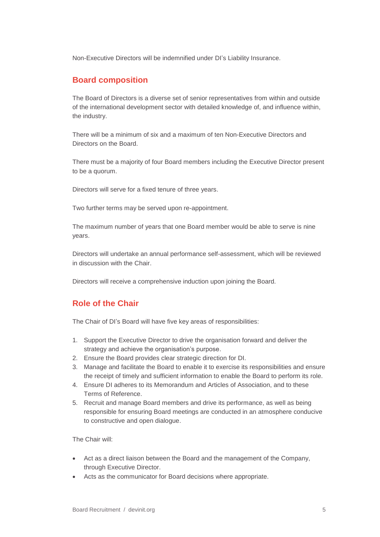Non-Executive Directors will be indemnified under DI's Liability Insurance.

### **Board composition**

The Board of Directors is a diverse set of senior representatives from within and outside of the international development sector with detailed knowledge of, and influence within, the industry.

There will be a minimum of six and a maximum of ten Non-Executive Directors and Directors on the Board.

There must be a majority of four Board members including the Executive Director present to be a quorum.

Directors will serve for a fixed tenure of three years.

Two further terms may be served upon re-appointment.

The maximum number of years that one Board member would be able to serve is nine years.

Directors will undertake an annual performance self-assessment, which will be reviewed in discussion with the Chair.

Directors will receive a comprehensive induction upon joining the Board.

# **Role of the Chair**

The Chair of DI's Board will have five key areas of responsibilities:

- 1. Support the Executive Director to drive the organisation forward and deliver the strategy and achieve the organisation's purpose.
- 2. Ensure the Board provides clear strategic direction for DI.
- 3. Manage and facilitate the Board to enable it to exercise its responsibilities and ensure the receipt of timely and sufficient information to enable the Board to perform its role.
- 4. Ensure DI adheres to its Memorandum and Articles of Association, and to these Terms of Reference.
- 5. Recruit and manage Board members and drive its performance, as well as being responsible for ensuring Board meetings are conducted in an atmosphere conducive to constructive and open dialogue.

The Chair will:

- Act as a direct liaison between the Board and the management of the Company, through Executive Director.
- Acts as the communicator for Board decisions where appropriate.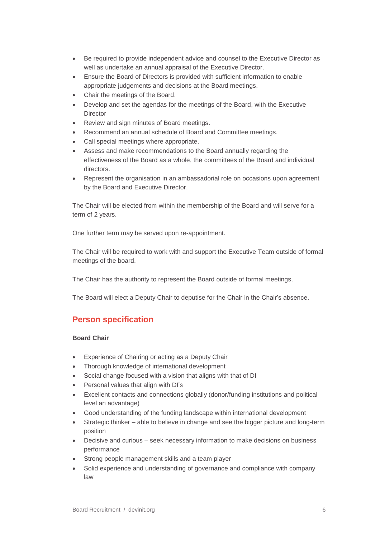- Be required to provide independent advice and counsel to the Executive Director as well as undertake an annual appraisal of the Executive Director.
- Ensure the Board of Directors is provided with sufficient information to enable appropriate judgements and decisions at the Board meetings.
- Chair the meetings of the Board.
- Develop and set the agendas for the meetings of the Board, with the Executive **Director**
- Review and sign minutes of Board meetings.
- Recommend an annual schedule of Board and Committee meetings.
- Call special meetings where appropriate.
- Assess and make recommendations to the Board annually regarding the effectiveness of the Board as a whole, the committees of the Board and individual directors.
- Represent the organisation in an ambassadorial role on occasions upon agreement by the Board and Executive Director.

The Chair will be elected from within the membership of the Board and will serve for a term of 2 years.

One further term may be served upon re-appointment.

The Chair will be required to work with and support the Executive Team outside of formal meetings of the board.

The Chair has the authority to represent the Board outside of formal meetings.

The Board will elect a Deputy Chair to deputise for the Chair in the Chair's absence.

# **Person specification**

#### **Board Chair**

- Experience of Chairing or acting as a Deputy Chair
- Thorough knowledge of international development
- Social change focused with a vision that aligns with that of DI
- Personal values that align with DI's
- Excellent contacts and connections globally (donor/funding institutions and political level an advantage)
- Good understanding of the funding landscape within international development
- Strategic thinker able to believe in change and see the bigger picture and long-term position
- Decisive and curious seek necessary information to make decisions on business performance
- Strong people management skills and a team player
- Solid experience and understanding of governance and compliance with company law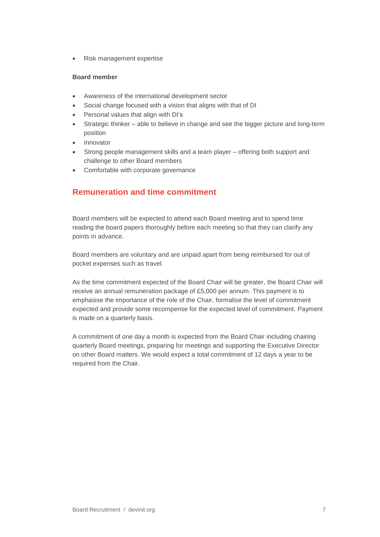• Risk management expertise

#### **Board member**

- Awareness of the international development sector
- Social change focused with a vision that aligns with that of DI
- Personal values that align with DI's
- Strategic thinker able to believe in change and see the bigger picture and long-term position
- **Innovator**
- Strong people management skills and a team player offering both support and challenge to other Board members
- Comfortable with corporate governance

## **Remuneration and time commitment**

Board members will be expected to attend each Board meeting and to spend time reading the board papers thoroughly before each meeting so that they can clarify any points in advance.

Board members are voluntary and are unpaid apart from being reimbursed for out of pocket expenses such as travel.

As the time commitment expected of the Board Chair will be greater, the Board Chair will receive an annual remuneration package of £5,000 per annum. This payment is to emphasise the importance of the role of the Chair, formalise the level of commitment expected and provide some recompense for the expected level of commitment. Payment is made on a quarterly basis.

A commitment of one day a month is expected from the Board Chair including chairing quarterly Board meetings, preparing for meetings and supporting the Executive Director on other Board matters. We would expect a total commitment of 12 days a year to be required from the Chair.